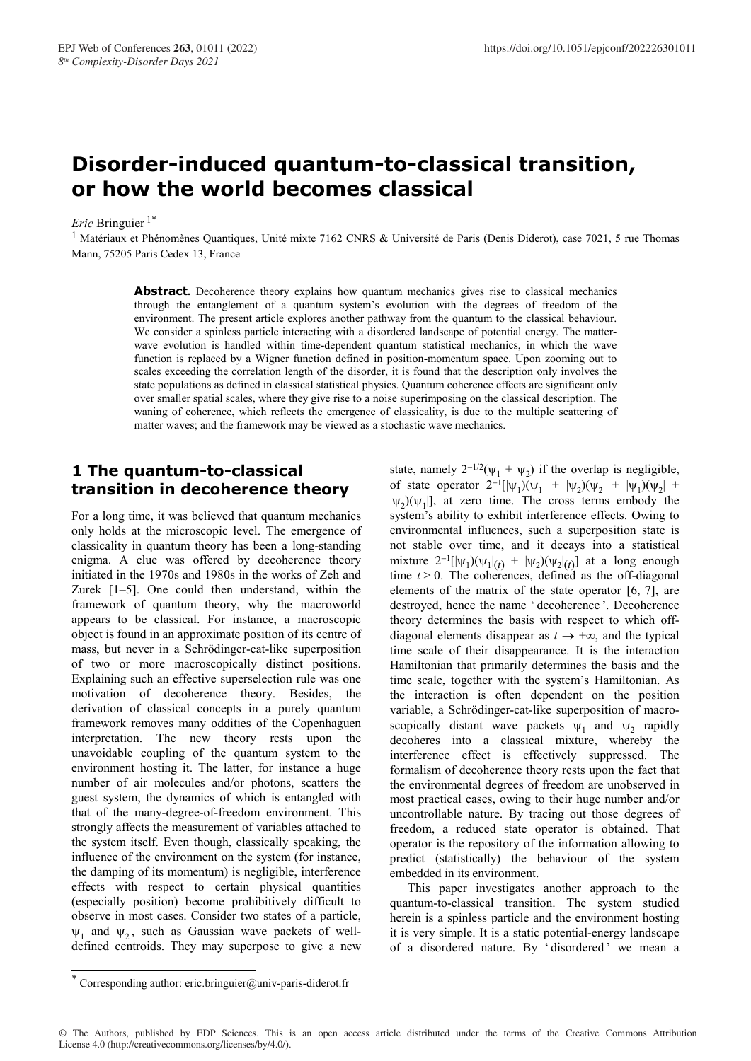## **Disorder-induced quantum-to-classical transition, or how the world becomes classical**

*Eric* Bringuier 1\*

<sup>1</sup> Matériaux et Phénomènes Quantiques, Unité mixte 7162 CNRS & Université de Paris (Denis Diderot), case 7021, 5 rue Thomas Mann, 75205 Paris Cedex 13, France

> **Abstract.** Decoherence theory explains how quantum mechanics gives rise to classical mechanics through the entanglement of a quantum system's evolution with the degrees of freedom of the environment. The present article explores another pathway from the quantum to the classical behaviour. We consider a spinless particle interacting with a disordered landscape of potential energy. The matterwave evolution is handled within time-dependent quantum statistical mechanics, in which the wave function is replaced by a Wigner function defined in position-momentum space. Upon zooming out to scales exceeding the correlation length of the disorder, it is found that the description only involves the state populations as defined in classical statistical physics. Quantum coherence effects are significant only over smaller spatial scales, where they give rise to a noise superimposing on the classical description. The waning of coherence, which reflects the emergence of classicality, is due to the multiple scattering of matter waves; and the framework may be viewed as a stochastic wave mechanics.

#### **1 The quantum-to-classical transition in decoherence theory**

For a long time, it was believed that quantum mechanics only holds at the microscopic level. The emergence of classicality in quantum theory has been a long-standing enigma. A clue was offered by decoherence theory initiated in the 1970s and 1980s in the works of Zeh and Zurek [1–5]. One could then understand, within the framework of quantum theory, why the macroworld appears to be classical. For instance, a macroscopic object is found in an approximate position of its centre of mass, but never in a Schrödinger-cat-like superposition of two or more macroscopically distinct positions. Explaining such an effective superselection rule was one motivation of decoherence theory. Besides, the derivation of classical concepts in a purely quantum framework removes many oddities of the Copenhaguen interpretation. The new theory rests upon the unavoidable coupling of the quantum system to the environment hosting it. The latter, for instance a huge number of air molecules and/or photons, scatters the guest system, the dynamics of which is entangled with that of the many-degree-of-freedom environment. This strongly affects the measurement of variables attached to the system itself. Even though, classically speaking, the influence of the environment on the system (for instance, the damping of its momentum) is negligible, interference effects with respect to certain physical quantities (especially position) become prohibitively difficult to observe in most cases. Consider two states of a particle,  $\psi_1$  and  $\psi_2$ , such as Gaussian wave packets of welldefined centroids. They may superpose to give a new

state, namely  $2^{-1/2}(\psi_1 + \psi_2)$  if the overlap is negligible, of state operator  $2^{-1}[\psi_1](\psi_1] + |\psi_2)(\psi_2| + |\psi_1)(\psi_2| +$  $|\psi_2\rangle(\psi_1)|$ , at zero time. The cross terms embody the system's ability to exhibit interference effects. Owing to environmental influences, such a superposition state is not stable over time, and it decays into a statistical mixture  $2^{-1}[\psi_1](\psi_1)|_{(t)} + |\psi_2](\psi_2|_{(t)})$  at a long enough time  $t > 0$ . The coherences, defined as the off-diagonal elements of the matrix of the state operator [6, 7], are destroyed, hence the name ' decoherence '. Decoherence theory determines the basis with respect to which offdiagonal elements disappear as  $t \rightarrow +\infty$ , and the typical time scale of their disappearance. It is the interaction Hamiltonian that primarily determines the basis and the time scale, together with the system's Hamiltonian. As the interaction is often dependent on the position variable, a Schrödinger-cat-like superposition of macroscopically distant wave packets  $\psi_1$  and  $\psi_2$  rapidly decoheres into a classical mixture, whereby the interference effect is effectively suppressed. The formalism of decoherence theory rests upon the fact that the environmental degrees of freedom are unobserved in most practical cases, owing to their huge number and/or uncontrollable nature. By tracing out those degrees of freedom, a reduced state operator is obtained. That operator is the repository of the information allowing to predict (statistically) the behaviour of the system embedded in its environment.

This paper investigates another approach to the quantum-to-classical transition. The system studied herein is a spinless particle and the environment hosting it is very simple. It is a static potential-energy landscape of a disordered nature. By ' disordered ' we mean a

© The Authors, published by EDP Sciences. This is an open access article distributed under the terms of the Creative Commons Attribution License 4.0 (http://creativecommons.org/licenses/by/4.0/).

 <sup>\*</sup> Corresponding author: eric.bringuier@univ-paris-diderot.fr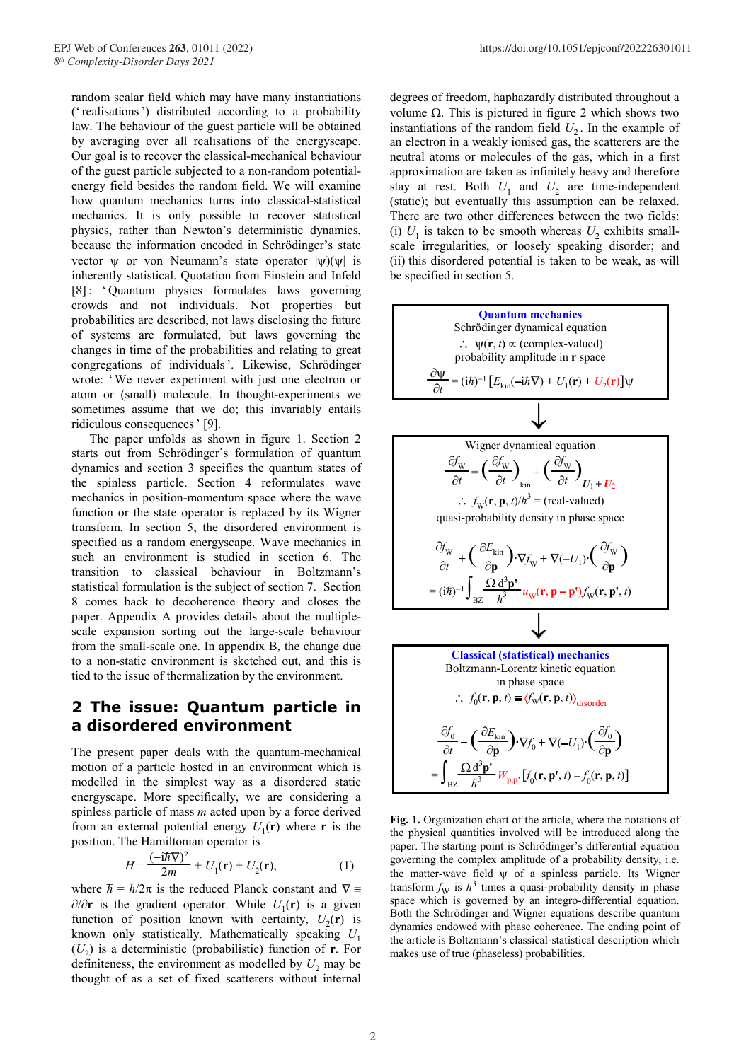random scalar field which may have many instantiations ('realisations') distributed according to a probability law. The behaviour of the guest particle will be obtained by averaging over all realisations of the energyscape. Our goal is to recover the classical-mechanical behaviour of the guest particle subjected to a non-random potentialenergy field besides the random field. We will examine how quantum mechanics turns into classical-statistical mechanics. It is only possible to recover statistical physics, rather than Newton's deterministic dynamics, because the information encoded in Schrödinger's state vector  $\psi$  or von Neumann's state operator  $|\psi\rangle(\psi)$  is inherently statistical. Quotation from Einstein and Infeld [8]: ' Quantum physics formulates laws governing crowds and not individuals. Not properties but probabilities are described, not laws disclosing the future of systems are formulated, but laws governing the changes in time of the probabilities and relating to great congregations of individuals'. Likewise, Schrödinger wrote: 'We never experiment with just one electron or atom or (small) molecule. In thought-experiments we sometimes assume that we do; this invariably entails ridiculous consequences' [9].

The paper unfolds as shown in figure 1. Section 2 starts out from Schrödinger's formulation of quantum dynamics and section 3 specifies the quantum states of the spinless particle. Section 4 reformulates wave mechanics in position-momentum space where the wave function or the state operator is replaced by its Wigner transform. In section 5, the disordered environment is specified as a random energyscape. Wave mechanics in such an environment is studied in section 6. The transition to classical behaviour in Boltzmann's statistical formulation is the subject of section 7. Section 8 comes back to decoherence theory and closes the paper. Appendix A provides details about the multiplescale expansion sorting out the large-scale behaviour from the small-scale one. In appendix B, the change due to a non-static environment is sketched out, and this is tied to the issue of thermalization by the environment.

#### **2 The issue: Quantum particle in a disordered environment**

The present paper deals with the quantum-mechanical motion of a particle hosted in an environment which is modelled in the simplest way as a disordered static energyscape. More specifically, we are considering a spinless particle of mass *m* acted upon by a force derived from an external potential energy  $U_1(\mathbf{r})$  where **r** is the position. The Hamiltonian operator is

$$
H = \frac{(-i\hbar \nabla)^2}{2m} + U_1(\mathbf{r}) + U_2(\mathbf{r}),\tag{1}
$$

where *h*  $\hbar = h/2\pi$  is the reduced Planck constant and  $\nabla =$ ∂/∂**r** is the gradient operator. While  $U_1(\mathbf{r})$  is a given function of position known with certainty,  $U_2(\mathbf{r})$  is known only statistically. Mathematically speaking *U*<sup>1</sup>  $(U_2)$  is a deterministic (probabilistic) function of **r**. For definiteness, the environment as modelled by  $U_2$  may be thought of as a set of fixed scatterers without internal

degrees of freedom, haphazardly distributed throughout a volume  $Ω$ . This is pictured in figure 2 which shows two instantiations of the random field  $U_2$ . In the example of an electron in a weakly ionised gas, the scatterers are the neutral atoms or molecules of the gas, which in a first approximation are taken as infinitely heavy and therefore stay at rest. Both  $U_1$  and  $U_2$  are time-independent (static); but eventually this assumption can be relaxed. There are two other differences between the two fields: (i)  $U_1$  is taken to be smooth whereas  $U_2$  exhibits smallscale irregularities, or loosely speaking disorder; and (ii) this disordered potential is taken to be weak, as will be specified in section 5.



**Fig. 1.** Organization chart of the article, where the notations of the physical quantities involved will be introduced along the paper. The starting point is Schrödinger's differential equation governing the complex amplitude of a probability density, i.e. the matter-wave field  $\psi$  of a spinless particle. Its Wigner transform  $f_{\rm W}$  is  $h^3$  times a quasi-probability density in phase space which is governed by an integro-differential equation. Both the Schrödinger and Wigner equations describe quantum dynamics endowed with phase coherence. The ending point of the article is Boltzmann's classical-statistical description which makes use of true (phaseless) probabilities.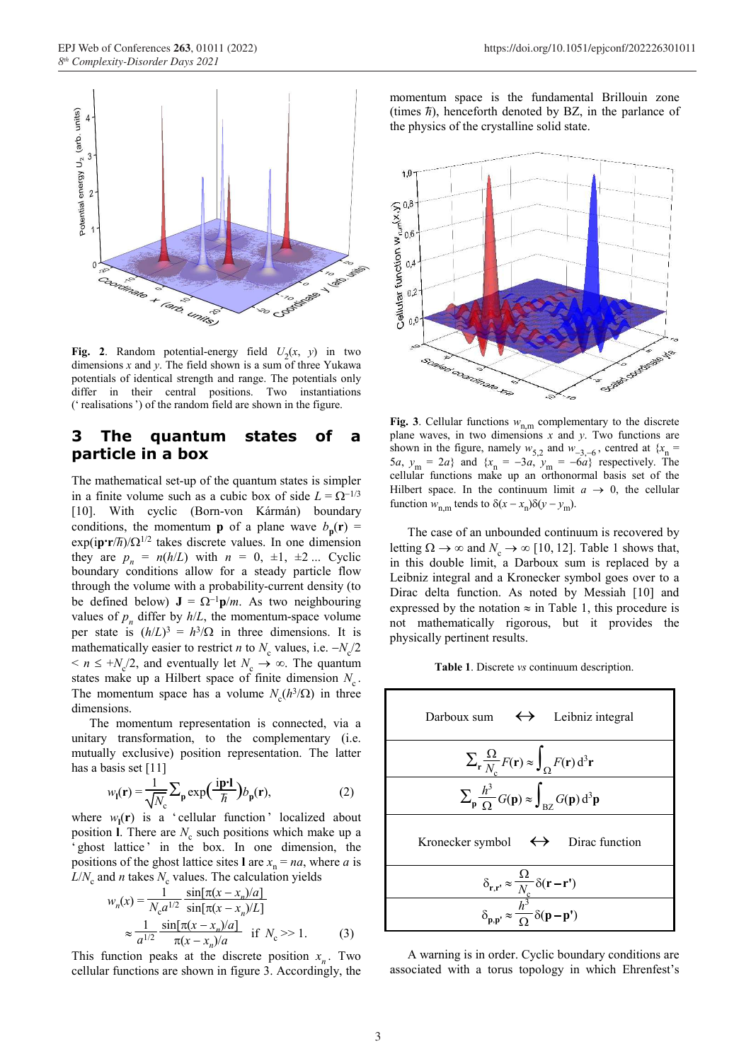

**Fig. 2**. Random potential-energy field  $U_2(x, y)$  in two dimensions *x* and *y*. The field shown is a sum of three Yukawa potentials of identical strength and range. The potentials only differ in their central positions. Two instantiations (' realisations') of the random field are shown in the figure.

#### **3 The quantum states of a particle in a box**

The mathematical set-up of the quantum states is simpler in a finite volume such as a cubic box of side  $L = \Omega^{-1/3}$ [10]. With cyclic (Born-von Kármán) boundary conditions, the momentum **p** of a plane wave  $b_p(\mathbf{r}) =$  $\exp(i\mathbf{p}\cdot\mathbf{r}/\hbar)/(\Omega^{1/2})$  takes discrete values. In one dimension they are  $p_n = n(h/L)$  with  $n = 0, \pm 1, \pm 2, \ldots$  Cyclic boundary conditions allow for a steady particle flow through the volume with a probability-current density (to be defined below)  $J = \Omega^{-1} p/m$ . As two neighbouring values of  $p_n$  differ by  $h/L$ , the momentum-space volume per state is  $(h/L)^3 = h^3/\Omega$  in three dimensions. It is mathematically easier to restrict *n* to  $N_c$  values, i.e.  $-N_c/2$  $\leq n \leq +N_c/2$ , and eventually let  $N_c \to \infty$ . The quantum states make up a Hilbert space of finite dimension  $N_c$ . The momentum space has a volume  $N_c(h^3/\Omega)$  in three dimensions.

unitary transformation, to the complementary (i.e. mutually exclusive) position representation. The latter  $\sum_{\mathbf{r}}$ 

$$
w_{\mathbf{l}}(\mathbf{r}) = \frac{1}{\sqrt{N_c}} \sum_{\mathbf{p}} \exp\left(\frac{\mathbf{i}\mathbf{p}\cdot\mathbf{l}}{\hbar}\right) b_{\mathbf{p}}(\mathbf{r}),\tag{2}
$$

where  $w_{\textbf{l}}(\textbf{r})$  is a 'cellular function' localized about position **l**. There are  $N_c$  such positions which make up a ' ghost lattice' in the box. In one dimension, the positions of the ghost lattice sites **l** are  $x_n = na$ , where *a* is  $L/N_c$  and *n* takes  $N_c$  values. The calculation yields

$$
w_n(x) = \frac{1}{N_c a^{1/2}} \frac{\sin[\pi(x - x_n)/a]}{\sin[\pi(x - x_n)/a]}
$$
  
 
$$
\approx \frac{1}{a^{1/2}} \frac{\sin[\pi(x - x_n)/a]}{\pi(x - x_n)/a} \quad \text{if } N_c >> 1.
$$
 (3)

This function peaks at the discrete position  $x_n$ . Two cellular functions are shown in figure 3. Accordingly, the

momentum space is the fundamental Brillouin zone (times  $\bar{n}$ ), henceforth denoted by BZ, in the parlance of the physics of the crystalline solid state.



**Fig. 3**. Cellular functions  $w_{n,m}$  complementary to the discrete plane waves, in two dimensions *x* and *y*. Two functions are shown in the figure, namely  $w_{5,2}$  and  $w_{-3,-6}$ , centred at { $x_n$  = 5*a*,  $y_m = 2a$ } and  $\{x_n = -3a, y_m = -6a\}$  respectively. The cellular functions make up an orthonormal basis set of the Hilbert space. In the continuum limit  $a \rightarrow 0$ , the cellular function  $w_{n,m}$  tends to  $\delta(x - x_n)\delta(y - y_m)$ .

The case of an unbounded continuum is recovered by letting  $\Omega \to \infty$  and  $N_c \to \infty$  [10, 12]. Table 1 shows that, in this double limit, a Darboux sum is replaced by a Leibniz integral and a Kronecker symbol goes over to a Dirac delta function. As noted by Messiah [10] and expressed by the notation  $\approx$  in Table 1, this procedure is not mathematically rigorous, but it provides the physically pertinent results.

**Table 1**. Discrete *vs* continuum description.



A warning is in order. Cyclic boundary conditions are associated with a torus topology in which Ehrenfest's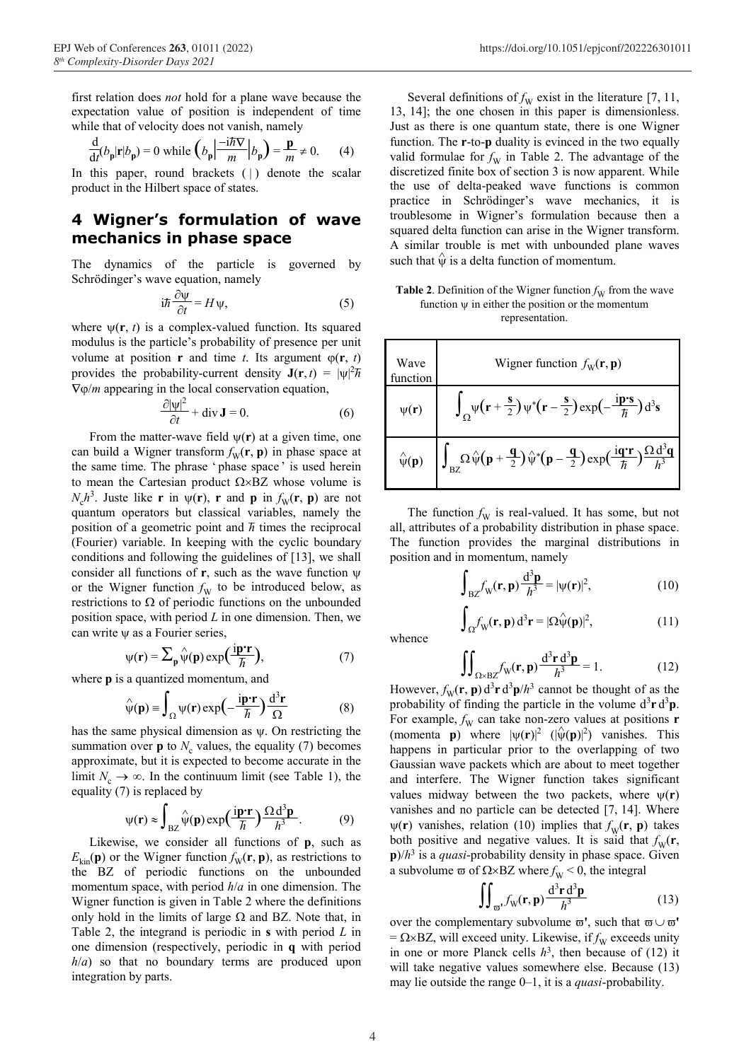first relation does *not* hold for a plane wave because the expectation value of position is independent of time while that of velocity does not vanish, namely

$$
\frac{d}{dt}(b_p|r|b_p) = 0 \text{ while } \left(b_p \left|\frac{-i\hbar \mathbf{V}}{m}\right| b_p\right) = \frac{\mathbf{p}}{m} \neq 0. \tag{4}
$$

In this paper, round brackets  $( )$  denote the scalar product in the Hilbert space of states.

#### **4 Wigner's formulation of wave mechanics in phase space**

The dynamics of the particle is governed by

$$
i\hbar \frac{\partial \psi}{\partial t} = H \psi,\tag{5}
$$

where  $\psi(\mathbf{r}, t)$  is a complex-valued function. Its squared modulus is the particle's probability of presence per unit volume at position **r** and time *t*. Its argument  $\varphi(\mathbf{r}, t)$ provides the probability-current density  $J(r, t) = |\psi|^2 \hbar$ ∇ϕ/*m* appearing in the local conservation equation,

$$
\frac{\partial |\psi|^2}{\partial t} + \operatorname{div} \mathbf{J} = 0.
$$
 (6)

From the matter-wave field  $\psi(\mathbf{r})$  at a given time, one can build a Wigner transform  $f_w(\mathbf{r}, \mathbf{p})$  in phase space at the same time. The phrase 'phase space' is used herein to mean the Cartesian product  $\Omega \times BZ$  whose volume is  $N_c h^3$ . Juste like **r** in  $\psi(\mathbf{r})$ , **r** and **p** in  $f_w(\mathbf{r}, \mathbf{p})$  are not quantum operators but classical variables, namely the \_ position of a geometric point and *h* times the reciprocal (Fourier) variable. In keeping with the cyclic boundary conditions and following the guidelines of [13], we shall consider all functions of **r**, such as the wave function ψ or the Wigner function  $f_{\rm W}$  to be introduced below, as restrictions to  $\Omega$  of periodic functions on the unbounded position space, with period *L* in one dimension. Then, we can write ψ as a Fourier series,

$$
\psi(\mathbf{r}) = \sum_{\mathbf{p}} \hat{\psi}(\mathbf{p}) \exp\left(\frac{\mathbf{i}\mathbf{p}\cdot\mathbf{r}}{\hbar}\right),
$$
\n3 quantized momentum, and

\n
$$
\iint_{\Omega \times BZ} f(\mathbf{r}) \, d\mathbf{r}
$$

where **p** is a quantized momentum, and

$$
\hat{\psi}(\mathbf{p}) \equiv \int_{\Omega} \psi(\mathbf{r}) \exp\left(-\frac{\mathbf{i}\mathbf{p}\cdot\mathbf{r}}{\hbar}\right) \frac{\mathrm{d}^3 \mathbf{r}}{\Omega} \tag{8}
$$

has the same physical dimension as  $\psi$ . On restricting the summation over **p** to  $N_c$  values, the equality (7) becomes approximate, but it is expected to become accurate in the limit  $N_c \rightarrow \infty$ . In the continuum limit (see Table 1), the equality (7) is replaced by

$$
\psi(\mathbf{r}) \approx \int_{\text{BZ}} \hat{\psi}(\mathbf{p}) \exp\left(\frac{i\mathbf{p}\cdot\mathbf{r}}{\hbar}\right) \frac{\Omega \, \mathrm{d}^3 \mathbf{p}}{\hbar^3}.\tag{9}
$$

Likewise, we consider all functions of **p**, such as  $E_{kin}(\mathbf{p})$  or the Wigner function  $f_{\rm W}(\mathbf{r}, \mathbf{p})$ , as restrictions to the BZ of periodic functions on the unbounded momentum space, with period *h*/*a* in one dimension. The Wigner function is given in Table 2 where the definitions only hold in the limits of large  $\Omega$  and BZ. Note that, in Table 2, the integrand is periodic in **s** with period *L* in one dimension (respectively, periodic in **q** with period *h*/*a*) so that no boundary terms are produced upon integration by parts.

Several definitions of  $f_{\rm W}$  exist in the literature [7, 11, 13, 14]; the one chosen in this paper is dimensionless. Just as there is one quantum state, there is one Wigner function. The **r**-to-**p** duality is evinced in the two equally valid formulae for  $f_{\rm W}$  in Table 2. The advantage of the discretized finite box of section 3 is now apparent. While the use of delta-peaked wave functions is common practice in Schrödinger's wave mechanics, it is troublesome in Wigner's formulation because then a squared delta function can arise in the Wigner transform. A similar trouble is met with unbounded plane waves such that  $\hat{\psi}$  is a delta function of momentum.

#### Schrödinger's wave equation, namely **Table 2**. Definition of the Wigner function  $f_w$  from the wave function  $\psi$  in either the position or the momentum representation.

| tuene s probability of presence per unit<br>on <b>r</b> and time <i>t</i> . Its argument $\varphi(\mathbf{r}, t)$<br>pability-current density $J(r, t) =  \psi ^2 \hbar$ | Wave<br>function   | Wigner function $f_w(\mathbf{r}, \mathbf{p})$                                                                                                                                                                                                   |
|--------------------------------------------------------------------------------------------------------------------------------------------------------------------------|--------------------|-------------------------------------------------------------------------------------------------------------------------------------------------------------------------------------------------------------------------------------------------|
| in the local conservation equation,<br>$\frac{\partial  \Psi ^2}{\partial t} + \text{div } \mathbf{J} = 0.$<br>(6)                                                       | $\psi(\mathbf{r})$ | $\int_{\Omega} \psi \left( \mathbf{r} + \frac{\mathbf{s}}{2} \right) \psi^* \left( \mathbf{r} - \frac{\mathbf{s}}{2} \right) \exp \left( - \frac{\mathbf{i} \mathbf{p} \cdot \mathbf{s}}{\hbar} \right) d^3 \mathbf{s}$                         |
| er-wave field $\psi(\mathbf{r})$ at a given time, one<br>er transform $f_{\rm w}(\mathbf{r}, \mathbf{p})$ in phase space at                                              |                    | $\hat{\psi}(\mathbf{p}) = \left  \int_{\text{BZ}} \Omega \hat{\psi}(\mathbf{p} + \frac{\mathbf{q}}{2}) \hat{\psi}^*(\mathbf{p} - \frac{\mathbf{q}}{2}) \exp(\frac{i\mathbf{q}\cdot\mathbf{r}}{\hbar}) \frac{\Omega d^3\mathbf{q}}{h^3} \right $ |
| ne phrase 'phase space' is used herein<br>esian product $\Omega \times BZ$ whose volume is                                                                               |                    |                                                                                                                                                                                                                                                 |

The function  $f_{\rm W}$  is real-valued. It has some, but not all, attributes of a probability distribution in phase space. The function provides the marginal distributions in position and in momentum, namely

 $\int_{\Omega} f_{\rm W}(\mathbf{r}, \mathbf{p}) \, \mathrm{d}^3 \mathbf{r} = |\Omega \hat{\Psi}(\mathbf{p})|^2$ 

$$
\int_{\mathrm{BZ}} f_{\mathrm{W}}(\mathbf{r}, \mathbf{p}) \frac{\mathrm{d}^3 \mathbf{p}}{h^3} = |\psi(\mathbf{r})|^2,\tag{10}
$$

 $(11)$ 

whence

$$
\iint_{\Omega \times BZ} f_W(\mathbf{r}, \mathbf{p}) \frac{d^3 \mathbf{r} d^3 \mathbf{p}}{h^3} = 1.
$$
 (12)

 $\int_{\mathbb{W}}^{c} (\mathbf{r}, \mathbf{p}) d^{3} \mathbf{r} d^{3} \mathbf{p}/h^{3}$  cannot be thought of as the probability of finding the particle in the volume  $d^3 \mathbf{r} d^3 \mathbf{p}$ . For example,  $f_{\rm W}$  can take non-zero values at positions **r** (momenta **p**) where  $|\psi(\mathbf{r})|^2$  ( $|\hat{\psi}(\mathbf{p})|^2$ ) vanishes. This happens in particular prior to the overlapping of two Gaussian wave packets which are about to meet together and interfere. The Wigner function takes significant values midway between the two packets, where  $\psi(\mathbf{r})$ vanishes and no particle can be detected [7, 14]. Where  $\psi(\mathbf{r})$  vanishes, relation (10) implies that  $f_{\psi}(\mathbf{r}, \mathbf{p})$  takes both positive and negative values. It is said that  $f_{\rm W}(\mathbf{r})$ , **p**)/*h*3 is a *quasi*-probability density in phase space. Given a subvolume  $\omega$  of  $\Omega \times BZ$  where  $f_W < 0$ , the integral

$$
\iint_{\mathfrak{m}'} f_{\mathfrak{W}}(\mathbf{r}, \mathbf{p}) \frac{d^3 \mathbf{r} d^3 \mathbf{p}}{h^3} \tag{13}
$$

over the complementary subvolume  $\varpi'$ , such that  $\varpi \cup \varpi'$  $= \Omega \times BZ$ , will exceed unity. Likewise, if  $f_W$  exceeds unity in one or more Planck cells  $h^3$ , then because of (12) it will take negative values somewhere else. Because (13) may lie outside the range 0–1, it is a *quasi*-probability.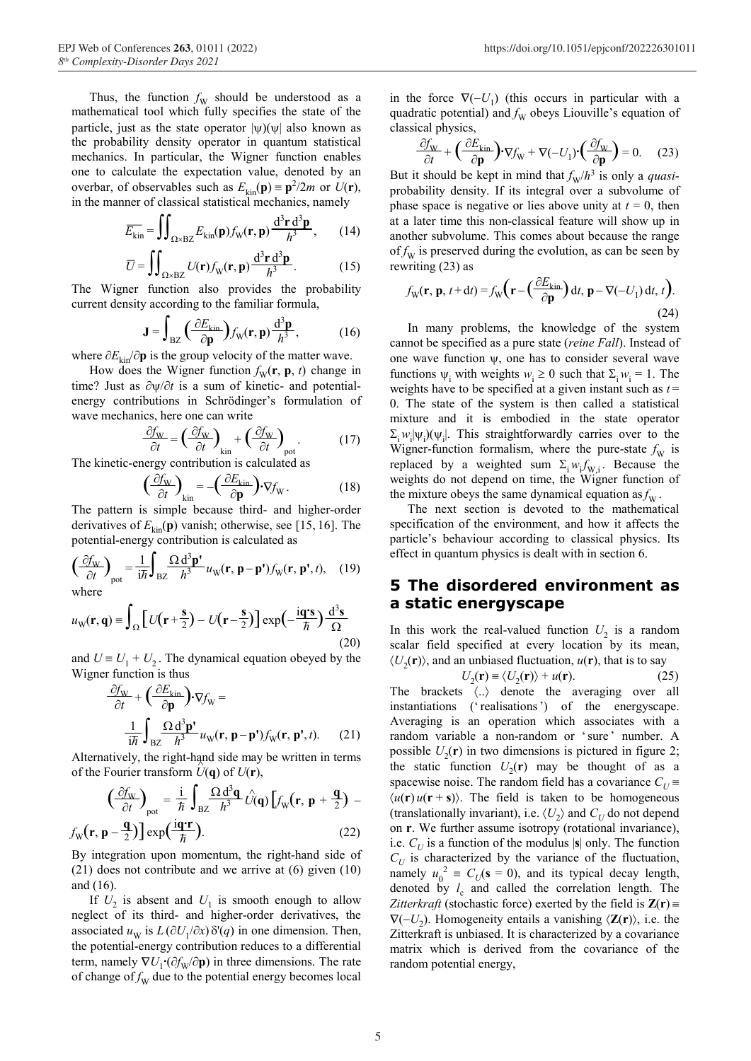Thus, the function  $f_{\rm W}$  should be understood as a mathematical tool which fully specifies the state of the particle, just as the state operator  $|\psi\rangle(\psi|)$  also known as the probability density operator in quantum statistical mechanics. In particular, the Wigner function enables one to calculate the expectation value, denoted by an overbar, of observables such as  $E_{\text{kin}}(\mathbf{p}) = \mathbf{p}^2/2m$  or  $U(\mathbf{r})$ , in the manner of classical statistical mechanics, namely

$$
\overline{E_{\rm kin}} = \iint_{\Omega \times BZ} E_{\rm kin}(\mathbf{p}) f_{\rm W}(\mathbf{r}, \mathbf{p}) \frac{d^3 \mathbf{r} d^3 \mathbf{p}}{h^3}, \qquad (14)
$$

$$
= \iint_{\Omega} d^3 \mathbf{r} d^3 \mathbf{p}
$$

$$
\overline{U} = \iint_{\Omega \times BZ} U(\mathbf{r}) f_{\mathbf{W}}(\mathbf{r}, \mathbf{p}) \frac{d^3 \mathbf{r} d^3 \mathbf{p}}{h^3}.
$$
 (15)

**The Wigner function also provides the probability** current density according to the familiar formula,

$$
\mathbf{J} = \int_{BZ} \left( \frac{\partial E_{\text{kin}}}{\partial \mathbf{p}} \right) f_{\text{W}}(\mathbf{r}, \mathbf{p}) \frac{d^3 \mathbf{p}}{h^3},\tag{16}
$$

where  $\partial E_{kin}/\partial p$  is the group velocity of the matter wave.

How does the Wigner function  $f_{\text{W}}(\mathbf{r}, \mathbf{p}, t)$  change in time? Just as ∂ψ/∂*t* is a sum of kinetic- and potentialenergy contributions in Schrödinger's formulation of wave mechanics, here one can write

$$
\frac{\partial f_{\mathbf{W}}}{\partial t} = \left(\frac{\partial f_{\mathbf{W}}}{\partial t}\right)_{\text{kin}} + \left(\frac{\partial f_{\mathbf{W}}}{\partial t}\right)_{\text{pot}}.
$$
(17)

The kinetic-energy contribution is calculated as

$$
\left(\frac{\partial f_{\mathbf{W}}}{\partial t}\right)_{\text{kin}} = -\left(\frac{\partial E_{\text{kin}}}{\partial \mathbf{p}}\right) \cdot \nabla f_{\mathbf{W}}.
$$
\n(18)

The pattern is simple because third- and higher-order derivatives of  $E_{kin}(\mathbf{p})$  vanish; otherwise, see [15, 16]. The potential-energy contribution is calculated as

$$
\left(\frac{\partial f_{\rm W}}{\partial t}\right)_{\rm pot} = \frac{1}{i\hbar} \int_{\rm BZ} \frac{\Omega \, \mathrm{d}^3 \mathbf{p}^{\prime}}{h^3} u_{\rm W}(\mathbf{r}, \mathbf{p} - \mathbf{p}^{\prime}) f_{\rm W}(\mathbf{r}, \mathbf{p}^{\prime}, t), \quad (19)
$$
\nwhere

$$
u_{\rm W}(\mathbf{r}, \mathbf{q}) \equiv \int_{\Omega} \left[ U(\mathbf{r} + \frac{\mathbf{s}}{2}) - U(\mathbf{r} - \frac{\mathbf{s}}{2}) \right] \exp\left(-\frac{\mathbf{i}\mathbf{q}\cdot\mathbf{s}}{\hbar}\right) \frac{\mathrm{d}^3\mathbf{s}}{\Omega} \tag{20}
$$

and  $U = U_1 + U_2$ . The dynamical equation obeyed by the  $\langle U_2(\mathbf{r}) \rangle$ , and an unbiased fluctuation,  $u(\mathbf{r})$ , that is to say  $Wigner function is thus$ 

$$
\frac{\partial f_{\rm W}}{\partial t} + \left(\frac{\partial E_{\rm kin}}{\partial \mathbf{p}}\right) \cdot \nabla f_{\rm W} =
$$
\n
$$
\frac{1}{i\hbar} \int_{\rm BZ} \frac{\Omega \, \mathrm{d}^3 \mathbf{p}'}{h^3} u_{\rm W}(\mathbf{r}, \mathbf{p} - \mathbf{p}') f_{\rm W}(\mathbf{r}, \mathbf{p}', t). \tag{21}
$$

Alternatively, the right-hand side may be written in terms of the Fourier transform  $\hat{U}(\mathbf{q})$  of  $U(\mathbf{r})$ ,

$$
\left(\frac{\partial f_{\rm w}}{\partial t}\right)_{\rm pot} = \frac{\mathrm{i}}{\hbar} \int_{\rm BZ} \frac{\Omega \, \mathrm{d}^3 \mathbf{q}}{h^3} \hat{U}(\mathbf{q}) \left[ f_{\rm w}(\mathbf{r}, \mathbf{p} + \frac{\mathbf{q}}{2}) - f_{\rm w}(\mathbf{r}, \mathbf{p} - \frac{\mathbf{q}}{2}) \right] \exp\left(\frac{\mathrm{i}\mathbf{q}\cdot\mathbf{r}}{\hbar}\right). \tag{22}
$$

By integration upon momentum, the right-hand side of (21) does not contribute and we arrive at (6) given (10) and (16).

If  $U_2$  is absent and  $U_1$  is smooth enough to allow neglect of its third- and higher-order derivatives, the associated  $u_w$  is  $L(\partial U_1/\partial x) \delta'(q)$  in one dimension. Then, the potential-energy contribution reduces to a differential term, namely  $\nabla U_1 \cdot (\partial f_{\rm W}/\partial \mathbf{p})$  in three dimensions. The rate of change of  $f_{\rm W}$  due to the potential energy becomes local

in the force  $\nabla(-U_1)$  (this occurs in particular with a quadratic potential) and *f* <sup>W</sup> obeys Liouville's equation of classical physics,

$$
\frac{\partial f_{\mathbf{W}}}{\partial t} + \left(\frac{\partial E_{\mathbf{k}}}{\partial \mathbf{p}}\right) \cdot \nabla f_{\mathbf{W}} + \nabla (-U_1) \cdot \left(\frac{\partial f_{\mathbf{W}}}{\partial \mathbf{p}}\right) = 0. \tag{23}
$$

But it should be kept in mind that  $f_{\rm W}/h^3$  is only a *quasi*probability density. If its integral over a subvolume of phase space is negative or lies above unity at  $t = 0$ , then at a later time this non-classical feature will show up in another subvolume. This comes about because the range of  $f_{\rm W}$  is preserved during the evolution, as can be seen by rewriting (23) as

$$
f_{\mathbf{W}}(\mathbf{r}, \mathbf{p}, t + dt) = f_{\mathbf{W}}\left(\mathbf{r} - \left(\frac{\partial E_{\mathbf{k}}}{\partial \mathbf{p}}\right)dt, \mathbf{p} - \nabla(-U_1) dt, t\right).
$$
\n(24)

In many problems, the knowledge of the system cannot be specified as a pure state (*reine Fall*). Instead of one wave function ψ, one has to consider several wave functions  $\psi_i$  with weights  $w_i \ge 0$  such that  $\Sigma_i w_i = 1$ . The weights have to be specified at a given instant such as  $t =$ 0. The state of the system is then called a statistical mixture and it is embodied in the state operator  $\Sigma_i w_i |\psi_i\rangle$  ( $\psi_i$ ). This straightforwardly carries over to the Wigner-function formalism, where the pure-state  $f_{\rm W}$  is replaced by a weighted sum  $\Sigma_i w_i f_{W,i}$ . Because the weights do not depend on time, the Wigner function of the mixture obeys the same dynamical equation as  $f<sub>W</sub>$ .

The next section is devoted to the mathematical specification of the environment, and how it affects the particle's behaviour according to classical physics. Its effect in quantum physics is dealt with in section 6.

#### **5 The disordered environment as a static energyscape**

In this work the real-valued function  $U_2$  is a random scalar field specified at every location by its mean,

$$
U_2(\mathbf{r}) \equiv \langle U_2(\mathbf{r}) \rangle + u(\mathbf{r}). \tag{25}
$$

The brackets  $\langle .. \rangle$  denote the averaging over all instantiations ('realisations') of the energyscape. Averaging is an operation which associates with a random variable a non-random or 'sure' number. A possible  $U_2(\mathbf{r})$  in two dimensions is pictured in figure 2; the static function  $U_2(\mathbf{r})$  may be thought of as a spacewise noise. The random field has a covariance  $C_U$  $\langle u(\mathbf{r}) u(\mathbf{r} + \mathbf{s}) \rangle$ . The field is taken to be homogeneous (translationally invariant), i.e.  $\langle U_2 \rangle$  and  $C_U$  do not depend on **r**. We further assume isotropy (rotational invariance), i.e.  $C_U$  is a function of the modulus  $|\mathbf{s}|$  only. The function  $C_{U}$  is characterized by the variance of the fluctuation, namely  $u_0^2 \equiv C_U(\mathbf{s} = 0)$ , and its typical decay length, denoted by  $l_c$  and called the correlation length. The *Zitterkraft* (stochastic force) exerted by the field is  $\mathbf{Z}(\mathbf{r}) =$  $\nabla(-U_2)$ . Homogeneity entails a vanishing  $\langle \mathbf{Z}(\mathbf{r}) \rangle$ , i.e. the Zitterkraft is unbiased. It is characterized by a covariance matrix which is derived from the covariance of the random potential energy,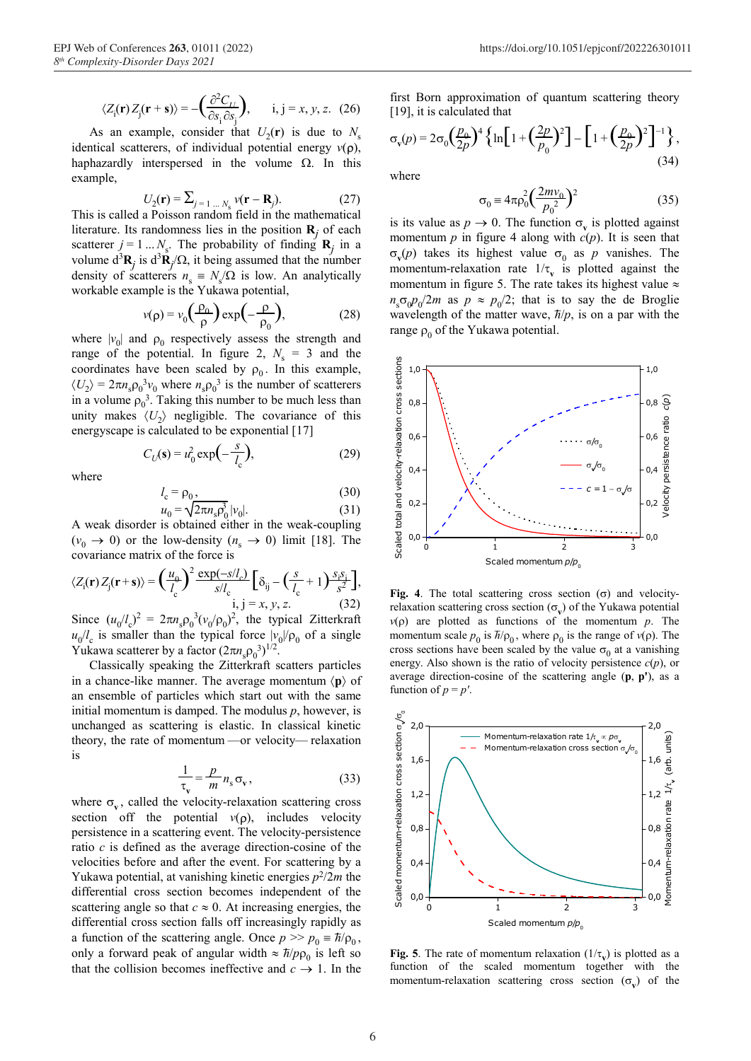$$
\langle Z_{\rm i}(\mathbf{r}) Z_{\rm j}(\mathbf{r} + \mathbf{s}) \rangle = -\left(\frac{\partial^2 C_{IJ}}{\partial s_{\rm i} \partial s_{\rm j}}\right), \qquad \mathbf{i}, \mathbf{j} = x, y, z. \tag{26}
$$

As an example, consider that  $U_2(\mathbf{r})$  is due to  $N_s$ identical scatterers, of individual potential energy  $v(\rho)$ , haphazardly interspersed in the volume  $\Omega$ . In this example, where  $\blacksquare$ 

$$
U_2(\mathbf{r}) = \sum_{j=1}^{N} v(\mathbf{r} - \mathbf{R}_j). \tag{27}
$$

This is called a Poisson random field in the mathematical literature. Its randomness lies in the position  $\mathbf{R}_j$  of each scatterer  $j = 1...N_s$ . The probability of finding  $\mathbf{R}_j$  in a volume  $d^3\mathbf{R}_j$  is  $d^3\mathbf{R}_j/\Omega$ , it being assumed that the number density of scatterers  $n_s \equiv N_s/\Omega$  is low. An analytically workable example is the Yukawa potential,

$$
v(\mathbf{p}) = v_0 \left(\frac{\rho_0}{\rho}\right) \exp\left(-\frac{\rho}{\rho_0}\right),\tag{28}
$$

where  $|v_0|$  and  $\rho_0$  respectively assess the strength and range of the potential. In figure 2,  $N_s = 3$  and the coordinates have been scaled by  $\rho_0$ . In this example,  $\langle U_2 \rangle = 2\pi n_s \rho_0^3 v_0$  where  $n_s \rho_0^3$  is the number of scatterers in a volume  $\rho_0^3$ . Taking this number to be much less than unity makes  $\langle U_2 \rangle$  negligible. The covariance of this energyscape is calculated to be exponential [17]

$$
C_U(\mathbf{s}) = u_0^2 \exp\left(-\frac{s}{l_c}\right),\tag{29}
$$

where

$$
l_c = \rho_0, \tag{30}
$$
  
\n
$$
u_0 = \sqrt{2\pi n_s} \rho_0^3 |v_0|.
$$
  
\n(31)

A weak disorder is obtained either in the weak-coupling  $(v_0 \rightarrow 0)$  or the low-density  $(n_s \rightarrow 0)$  limit [18]. The covariance matrix of the force is

$$
\langle Z_{\rm i}(\mathbf{r}) Z_{\rm j}(\mathbf{r} + \mathbf{s}) \rangle = \left(\frac{u_{\Theta}}{l_{\rm c}}\right)^2 \frac{\exp(-s/l_{\rm c})}{s/l_{\rm c}} \left[\delta_{\rm ij} - \left(\frac{s}{l_{\rm c}} + 1\right) \frac{s_i s_i}{s^2}\right],
$$
  
i, j = x, y, z. (32)  
Since  $(u/l)^2 = 2\pi r \Omega \frac{3}{2} (v/\Omega)^2$  the trivial zittor

Since  $(u_0/l_c)^2 = 2\pi n_s \rho_0^3 (v_0/\rho_0)^2$ , the typical Zitterkraft  $u_0/l_c$  is smaller than the typical force  $|v_0|/|\rho_0|$  of a single Yukawa scatterer by a factor  $(2\pi n_s \rho_0^3)^{1/2}$ .

Classically speaking the Zitterkraft scatters particles in a chance-like manner. The average momentum  $\langle \mathbf{p} \rangle$  of an ensemble of particles which start out with the same initial momentum is damped. The modulus *p*, however, is unchanged as scattering is elastic. In classical kinetic theory, the rate of momentum —or velocity— relaxation is

$$
\frac{1}{\tau_v} = \frac{p}{m} n_s \sigma_v, \qquad (33)
$$

where  $\sigma_v$ , called the velocity-relaxation scattering cross section off the potential  $v(\rho)$ , includes velocity persistence in a scattering event. The velocity-persistence ratio *c* is defined as the average direction-cosine of the velocities before and after the event. For scattering by a Yukawa potential, at vanishing kinetic energies  $p^2/2m$  the differential cross section becomes independent of the scattering angle so that  $c \approx 0$ . At increasing energies, the differential cross section falls off increasingly rapidly as a function of the scattering angle. Once  $p \gg p_0 \equiv \hbar/\rho_0$ , only a forward peak of angular width  $\approx \frac{\hbar}{\rho \rho_0}$  is left so that the collision becomes ineffective and  $c \rightarrow 1$ . In the

first Born approximation of quantum scattering theory [19], it is calculated that

$$
\sigma_{\mathbf{v}}(p) = 2\sigma_0 \left(\frac{p_0}{2p}\right)^4 \left\{ \ln \left[ 1 + \left(\frac{2p}{p_0}\right)^2 \right] - \left[ 1 + \left(\frac{p_0}{2p}\right)^2 \right]^{-1} \right\},\tag{34}
$$

$$
U_2(\mathbf{r}) = \sum_{j=1...N_s} v(\mathbf{r} - \mathbf{R}_j).
$$
\n(27)\n
$$
\sigma_0 \equiv 4\pi \rho_0^2 \left(\frac{2mv_0}{p_0^2}\right)^2
$$
\n(35)

is its value as  $p \to 0$ . The function  $\sigma_v$  is plotted against momentum  $p$  in figure 4 along with  $c(p)$ . It is seen that  $\sigma_v(p)$  takes its highest value  $\sigma_0$  as *p* vanishes. The momentum-relaxation rate  $1/\tau_v$  is plotted against the momentum in figure 5. The rate takes its highest value  $\approx$  $n_s \sigma_0 p_0 / 2m$  as  $p \approx p_0 / 2$ ; that is to say the de Broglie wavelength of the matter wave,  $\hbar/p$ , is on a par with the range  $\rho_0$  of the Yukawa potential.



**Fig. 4**. The total scattering cross section ( $\sigma$ ) and velocityrelaxation scattering cross section  $(\sigma_v)$  of the Yukawa potential *v*(*p*) are plotted as functions of the momentum *p*. The momentum scale  $p_0$  is  $\bar{h}/\rho_0$ , where  $\rho_0$  is the range of  $v(\rho)$ . The cross sections have been scaled by the value  $\sigma_0$  at a vanishing energy. Also shown is the ratio of velocity persistence *c*(*p*), or average direction-cosine of the scattering angle (**p**, **p'**), as a function of  $p = p'$ .



**Fig. 5**. The rate of momentum relaxation  $(1/\tau_{\rm w})$  is plotted as a function of the scaled momentum together with the momentum-relaxation scattering cross section  $(\sigma_v)$  of the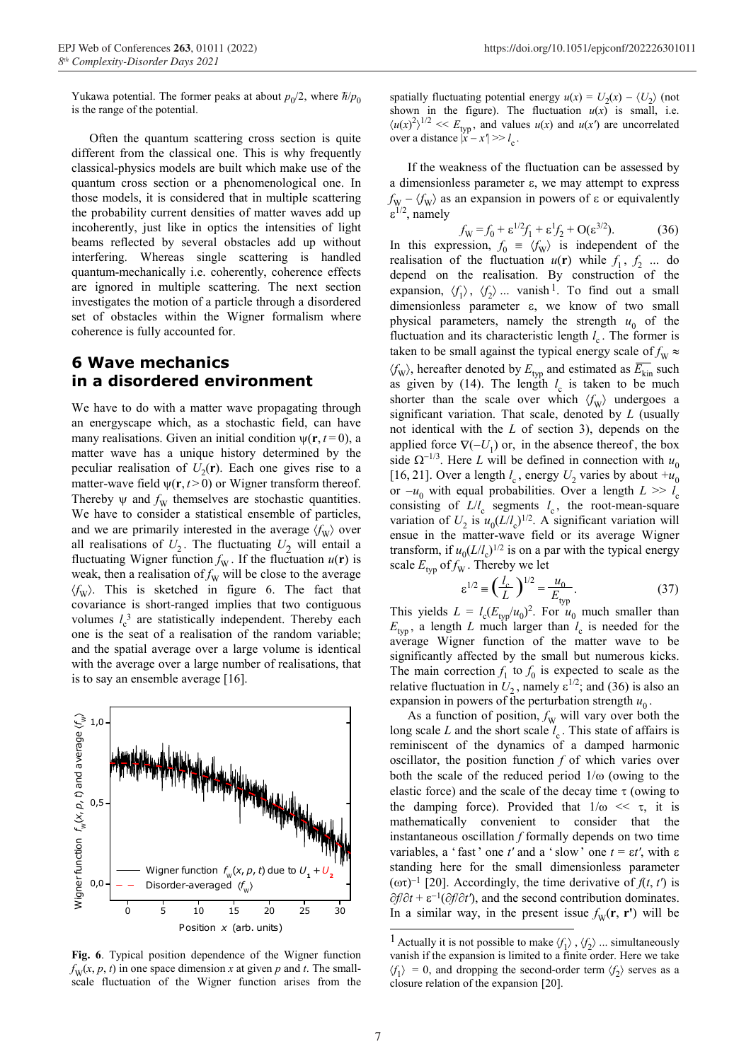Yukawa potential. The former peaks at about  $p_0/2$ , where  $\hbar/p_0$ is the range of the potential.

Often the quantum scattering cross section is quite different from the classical one. This is why frequently classical-physics models are built which make use of the quantum cross section or a phenomenological one. In those models, it is considered that in multiple scattering the probability current densities of matter waves add up incoherently, just like in optics the intensities of light beams reflected by several obstacles add up without interfering. Whereas single scattering is handled quantum-mechanically i.e. coherently, coherence effects are ignored in multiple scattering. The next section investigates the motion of a particle through a disordered set of obstacles within the Wigner formalism where coherence is fully accounted for.

#### **6 Wave mechanics in a disordered environment**

We have to do with a matter wave propagating through an energyscape which, as a stochastic field, can have many realisations. Given an initial condition  $\psi(\mathbf{r}, t=0)$ , a matter wave has a unique history determined by the peculiar realisation of  $U_2(\mathbf{r})$ . Each one gives rise to a matter-wave field  $\psi(\mathbf{r}, t > 0)$  or Wigner transform thereof. Thereby  $\psi$  and  $f_W$  themselves are stochastic quantities. We have to consider a statistical ensemble of particles, and we are primarily interested in the average  $\langle f_{\rm W} \rangle$  over all realisations of  $U_2$ . The fluctuating  $U_2$  will entail a fluctuating Wigner function  $f_w$ . If the fluctuation  $u(\mathbf{r})$  is weak, then a realisation of  $f_{\rm W}$  will be close to the average  $\langle f_W \rangle$ . This is sketched in figure 6. The fact that covariance is short-ranged implies that two contiguous volumes  $l_c^3$  are statistically independent. Thereby each one is the seat of a realisation of the random variable; and the spatial average over a large volume is identical with the average over a large number of realisations, that is to say an ensemble average [16].



**Fig. 6**. Typical position dependence of the Wigner function  $f_{\text{W}}(x, p, t)$  in one space dimension *x* at given *p* and *t*. The smallscale fluctuation of the Wigner function arises from the

spatially fluctuating potential energy  $u(x) = U_2(x) - \langle U_2 \rangle$  (not shown in the figure). The fluctuation  $u(x)$  is small, i.e.  $\langle u(x)^2 \rangle^{1/2}$  <<  $E_{\text{typ}}$ , and values  $u(x)$  and  $u(x')$  are uncorrelated over a distance  $|x - x'| >> l$ 

If the weakness of the fluctuation can be assessed by a dimensionless parameter ε, we may attempt to express  $f_{\text{W}} - \langle f_{\text{W}} \rangle$  as an expansion in powers of  $\varepsilon$  or equivalently ε<sup>1/2</sup>, namely

$$
f_{\rm W} = f_0 + \varepsilon^{1/2} f_1 + \varepsilon^1 f_2 + \mathcal{O}(\varepsilon^{3/2}).\tag{36}
$$

In this expression,  $f_0 = \langle f_{\rm W} \rangle$  is independent of the realisation of the fluctuation  $u(\mathbf{r})$  while  $f_1, f_2$  ... do depend on the realisation. By construction of the expansion,  $\langle f_1 \rangle$ ,  $\langle f_2 \rangle$  ... vanish<sup>1</sup>. To find out a small dimensionless parameter ε, we know of two small physical parameters, namely the strength  $u_0$  of the fluctuation and its characteristic length  $l_c$ . The former is taken to be small against the typical energy scale of  $f_{\rm W} \approx$ taken to be small against the typical energy scale of  $f_{\rm W} \approx \langle f_{\rm W} \rangle$ , hereafter denoted by  $E_{\rm typ}$  and estimated as  $\overline{E_{\rm kin}}$  such as given by (14). The length  $l_c$  is taken to be much shorter than the scale over which  $\langle f_{\rm W} \rangle$  undergoes a significant variation. That scale, denoted by *L* (usually not identical with the *L* of section 3), depends on the applied force  $\nabla(-U_1)$  or, in the absence thereof, the box side  $\Omega^{-1/3}$ . Here *L* will be defined in connection with  $u_0$ [16, 21]. Over a length  $l_c$ , energy  $U_2$  varies by about  $+u_0$ or  $-u_0$  with equal probabilities. Over a length  $L \gg l_c$ consisting of  $L/l_c$  segments  $l_c$ , the root-mean-square variation of  $U_2$  is  $u_0(L/l_c)^{1/2}$ . A significant variation will ensue in the matter-wave field or its average Wigner transform, if  $u_0(L/l_c)^{1/2}$  is on a par with the typical energy scale  $E_{\text{typ}}$  of  $f_{\text{W}}$ . Thereby we let

$$
\varepsilon^{1/2} = \left(\frac{l_c}{L}\right)^{1/2} = \frac{u_0}{E_{\text{typ}}}.
$$
 (37)

This yields  $L = l_c(E_{typ}/u_0)^2$ . For  $u_0$  much smaller than  $E_{\text{typ}}$ , a length *L* much larger than  $l_c$  is needed for the average Wigner function of the matter wave to be significantly affected by the small but numerous kicks. The main correction  $f_1$  to  $f_0$  is expected to scale as the relative fluctuation in  $U_2$ , namely  $\varepsilon^{1/2}$ ; and (36) is also an expansion in powers of the perturbation strength  $u_0$ .

As a function of position,  $f_{\rm W}$  will vary over both the long scale *L* and the short scale  $l_c$ . This state of affairs is reminiscent of the dynamics of a damped harmonic oscillator, the position function *f* of which varies over both the scale of the reduced period  $1/\omega$  (owing to the elastic force) and the scale of the decay time  $\tau$  (owing to the damping force). Provided that  $1/\omega \ll \tau$ , it is mathematically convenient to consider that the instantaneous oscillation *f* formally depends on two time variables, a 'fast' one  $t'$  and a 'slow' one  $t = \varepsilon t'$ , with  $\varepsilon$ standing here for the small dimensionless parameter (ωτ)<sup>−</sup>1 [20]. Accordingly, the time derivative of *f*(*t*, *t'*) is ∂*f*/∂*t* + ε−1(∂*f*/∂*t'*), and the second contribution dominates. In a similar way, in the present issue  $f_w(\mathbf{r}, \mathbf{r}')$  will be

<sup>&</sup>lt;sup>1</sup> Actually it is not possible to make  $\langle f_1 \rangle$ ,  $\langle f_2 \rangle$  ... simultaneously vanish if the expansion is limited to a finite order. Here we take  $\langle f_1 \rangle = 0$ , and dropping the second-order term  $\langle f_2 \rangle$  serves as a closure relation of the expansion [20].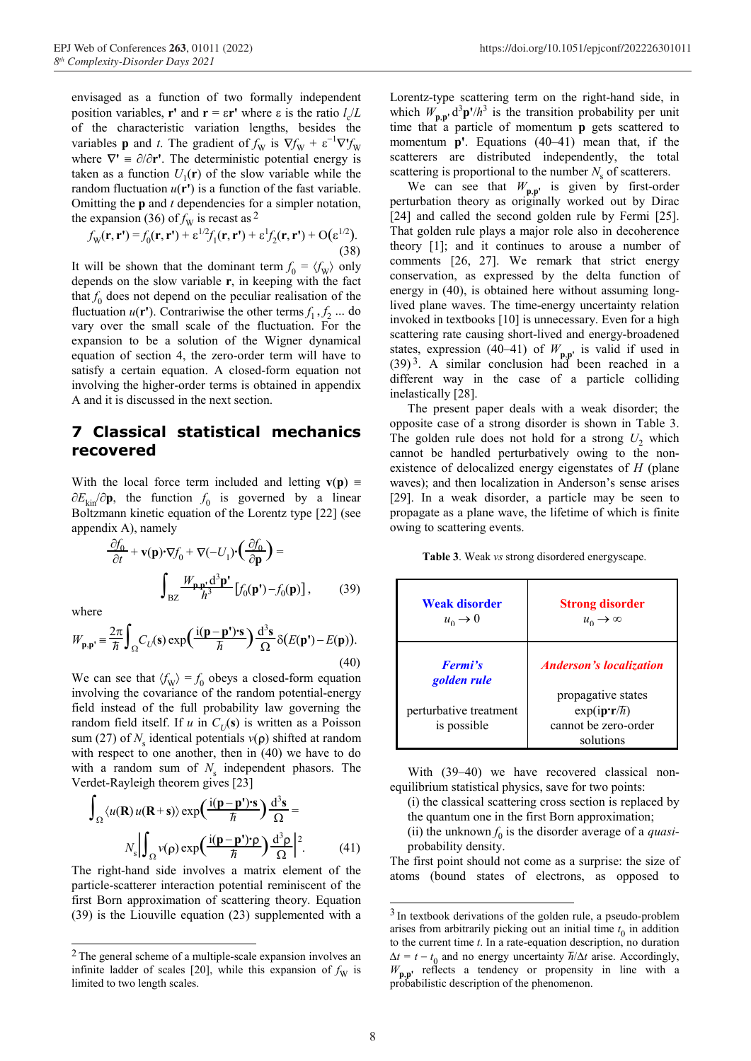envisaged as a function of two formally independent position variables, **r'** and **r** =  $\epsilon$ **r'** where  $\epsilon$  is the ratio  $l_c/L$ of the characteristic variation lengths, besides the variables **p** and *t*. The gradient of  $f_w$  is  $\nabla f_w + \varepsilon^{-1} \nabla^{\prime} f_w$ where  $\nabla' = \partial/\partial r'$ . The deterministic potential energy is taken as a function  $U_1(\mathbf{r})$  of the slow variable while the random fluctuation  $u(\mathbf{r}')$  is a function of the fast variable. Omitting the **p** and *t* dependencies for a simpler notation, the expansion (36) of  $f_{\rm W}$  is recast as <sup>2</sup>

$$
f_{\mathbf{W}}(\mathbf{r}, \mathbf{r'}) = f_0(\mathbf{r}, \mathbf{r'}) + \varepsilon^{1/2} f_1(\mathbf{r}, \mathbf{r'}) + \varepsilon^1 f_2(\mathbf{r}, \mathbf{r'}) + \mathbf{O}(\varepsilon^{1/2}).
$$
\n(38)

It will be shown that the dominant term  $f_0 = \langle f_{\rm W} \rangle$  only depends on the slow variable **r**, in keeping with the fact that  $f_0$  does not depend on the peculiar realisation of the fluctuation  $u(\mathbf{r}')$ . Contrariwise the other terms  $f_1, f_2$  ... do vary over the small scale of the fluctuation. For the expansion to be a solution of the Wigner dynamical equation of section 4, the zero-order term will have to satisfy a certain equation. A closed-form equation not involving the higher-order terms is obtained in appendix A and it is discussed in the next section.<br>The present paper deals with a weak disorder; the

#### **7 Classical statistical mechanics recovered**

With the local force term included and letting  $\mathbf{v}(\mathbf{p}) =$ ∂*E*kin/∂**p**, the function *f* <sup>0</sup> is governed by a linear Boltzmann kinetic equation of the Lorentz type [22] (see appendix A), namely

$$
\frac{\partial f_0}{\partial t} + \mathbf{v}(\mathbf{p}) \cdot \nabla f_0 + \nabla(-U_1) \cdot \left(\frac{\partial f_0}{\partial \mathbf{p}}\right) =
$$
\n
$$
\int_{\text{BZ}} \frac{W_{\mathbf{p}, \mathbf{p}} d^3 \mathbf{p}'}{h^3} \left[ f_0(\mathbf{p}') - f_0(\mathbf{p}) \right],\tag{39}
$$

$$
W_{\mathbf{p},\mathbf{p}'} = \frac{2\pi}{\hbar} \int_{\Omega} C_U(\mathbf{s}) \exp\left(\frac{\mathrm{i}(\mathbf{p}-\mathbf{p}')\cdot \mathbf{s}}{\hbar}\right) \frac{\mathrm{d}^3 \mathbf{s}}{\Omega} \delta(E(\mathbf{p}') - E(\mathbf{p})).
$$
\n(40)

We can see that  $\langle f_{\rm W} \rangle = f_0$  obeys a closed-form equation involving the covariance of the random potential-energy field instead of the full probability law governing the random field itself. If *u* in  $C_U(s)$  is written as a Poisson sum (27) of *N*<sub>s</sub> identical potentials *v*(**ρ**) shifted at random with respect to one another, then in (40) we have to do with a random sum of  $N_s$  independent phasors. The with a random sum of  $N_s$  independent phasors. The With (39–40) we have recovered classical non-<br>Verdet-Rayleigh theorem gives [23]

$$
\int_{\Omega} \langle u(\mathbf{R}) u(\mathbf{R} + \mathbf{s}) \rangle \exp\left(\frac{\mathrm{i}(\mathbf{p} - \mathbf{p}') \cdot \mathbf{s}}{\hbar}\right) \frac{\mathrm{d}^3 \mathbf{s}}{\Omega} =
$$

$$
N_s \left| \int_{\Omega} v(\mathbf{p}) \exp\left(\frac{\mathrm{i}(\mathbf{p} - \mathbf{p}') \cdot \mathbf{p}}{\hbar}\right) \frac{\mathrm{d}^3 \mathbf{p}}{\Omega} \right|^2. \tag{41}
$$

The right-hand side involves a matrix element of the atoms (bound states of electrons, as opposed to particle-scatterer interaction potential reminiscent of the first Born approximation of scattering theory. Equation (39) is the Liouville equation (23) supplemented with a

Lorentz-type scattering term on the right-hand side, in which  $W_{\mathbf{p},\mathbf{p}'} \, \mathrm{d}^3 \mathbf{p'} / h^3$  is the transition probability per unit time that a particle of momentum **p** gets scattered to momentum **p'**. Equations (40–41) mean that, if the scatterers are distributed independently, the total scattering is proportional to the number  $N<sub>s</sub>$  of scatterers.

We can see that  $W_{\mathbf{p},\mathbf{p}'}$  is given by first-order perturbation theory as originally worked out by Dirac [24] and called the second golden rule by Fermi [25]. That golden rule plays a major role also in decoherence theory [1]; and it continues to arouse a number of comments [26, 27]. We remark that strict energy conservation, as expressed by the delta function of energy in (40), is obtained here without assuming longlived plane waves. The time-energy uncertainty relation invoked in textbooks [10] is unnecessary. Even for a high scattering rate causing short-lived and energy-broadened states, expression (40–41) of  $W_{\mathbf{p},\mathbf{p}'}$  is valid if used in  $(39)^3$ . A similar conclusion had been reached in a different way in the case of a particle colliding inelastically [28].

opposite case of a strong disorder is shown in Table 3. The golden rule does not hold for a strong  $U_2$  which cannot be handled perturbatively owing to the nonexistence of delocalized energy eigenstates of *H* (plane waves); and then localization in Anderson's sense arises [29]. In a weak disorder, a particle may be seen to propagate as a plane wave, the lifetime of which is finite owing to scattering events.

Table 3. Weak *vs* strong disordered energyscape.

| $\int_{\mathbb{R}^7} \frac{W_{\mathbf{p},\mathbf{p}'}}{h^3} d^3 \mathbf{p} \left[f_0(\mathbf{p}') - f_0(\mathbf{p})\right],$<br>(39)<br>where<br>$W_{\mathbf{p},\mathbf{p}'} = \frac{2\pi}{\hbar} \int_{\Omega} C_U(\mathbf{s}) \exp\left(\frac{\mathrm{i}(\mathbf{p}-\mathbf{p}')\cdot \mathbf{s}}{\hbar}\right) \frac{\mathrm{d}^3\mathbf{s}}{\Omega} \delta(E(\mathbf{p}') - E(\mathbf{p})).$                           | <b>Weak disorder</b><br>$u_0 \rightarrow 0$                            | <b>Strong disorder</b><br>$u_0 \rightarrow \infty$                                                                                    |
|----------------------------------------------------------------------------------------------------------------------------------------------------------------------------------------------------------------------------------------------------------------------------------------------------------------------------------------------------------------------------------------------------------------------------|------------------------------------------------------------------------|---------------------------------------------------------------------------------------------------------------------------------------|
| (40)<br>We can see that $\langle f_{\rm W} \rangle = f_0$ obeys a closed-form equation<br>involving the covariance of the random potential-energy<br>field instead of the full probability law governing the<br>random field itself. If u in $C_{I}(\mathbf{s})$ is written as a Poisson<br>sum (27) of $N_s$ identical potentials $v(\rho)$ shifted at random<br>with regnee to one enother then in $(40)$ we have to do. | <b>Fermi's</b><br>golden rule<br>perturbative treatment<br>is possible | <b>Anderson's localization</b><br>propagative states<br>$\exp(i\mathbf{p}\cdot\mathbf{r}/\hbar)$<br>cannot be zero-order<br>solutions |

equilibrium statistical physics, save for two points:

- $(i)$  the classical scattering cross section is replaced by the quantum one in the first Born approximation;
- (ii) the unknown  $f_0$  is the disorder average of a *quasi*probability density.

The first point should not come as a surprise: the size of

 <sup>2</sup> The general scheme of a multiple-scale expansion involves an infinite ladder of scales [20], while this expansion of  $f<sub>W</sub>$  is limited to two length scales.

 <sup>3</sup> In textbook derivations of the golden rule, a pseudo-problem arises from arbitrarily picking out an initial time  $t_0$  in addition to the current time *t*. In a rate-equation description, no duration \_  $\Delta t = t - t_0$  and no energy uncertainty  $\hbar/\Delta t$  arise. Accordingly,  $W_{\mathbf{p},\mathbf{p}'}$  reflects a tendency or propensity in line with a probabilistic description of the phenomenon.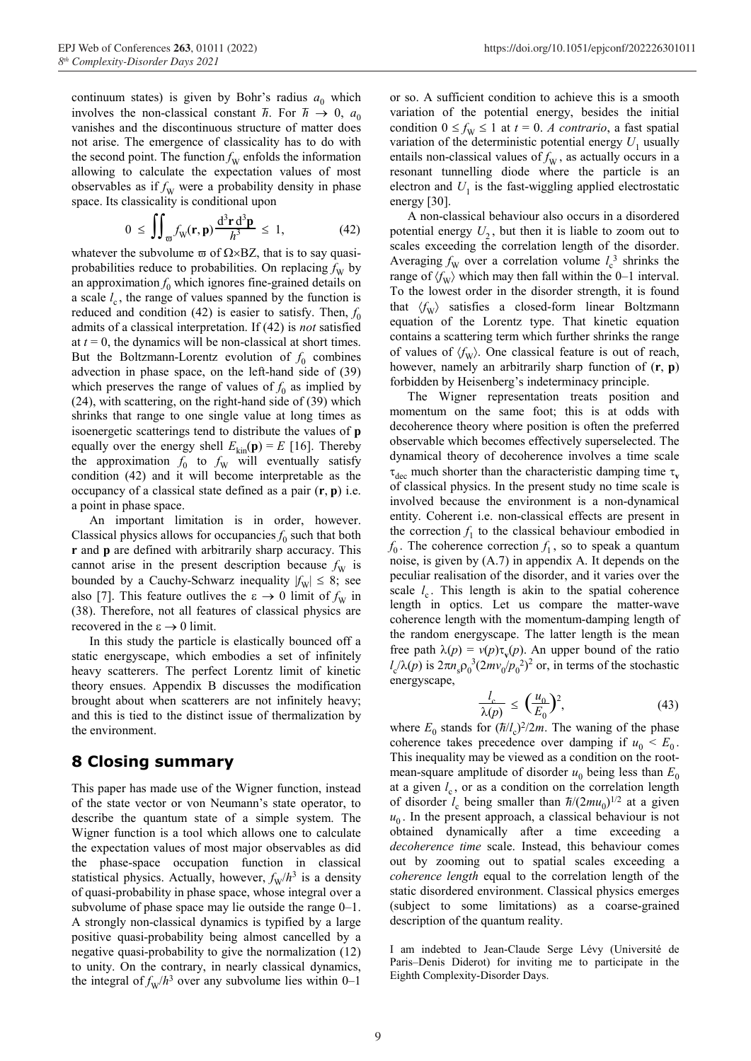continuum states) is given by Bohr's radius  $a_0$  which involves the non-classical constant  $\hbar$ . For  $\hbar \to 0$ ,  $a_0$ vanishes and the discontinuous structure of matter does not arise. The emergence of classicality has to do with the second point. The function  $f_{\rm W}$  enfolds the information allowing to calculate the expectation values of most observables as if  $f_{\rm W}$  were a probability density in phase space. Its classicality is conditional upon

$$
0 \leq \iint_{\overline{\omega}} f_{\mathbf{W}}(\mathbf{r}, \mathbf{p}) \frac{d^3 \mathbf{r} d^3 \mathbf{p}}{h^3} \leq 1, \tag{42}
$$

whatever the subvolume  $\varpi$  of  $\Omega \times BZ$ , that is to say quasiprobabilities reduce to probabilities. On replacing  $f_{\rm W}$  by an approximation  $f_0$  which ignores fine-grained details on a scale  $l_c$ , the range of values spanned by the function is reduced and condition  $(42)$  is easier to satisfy. Then,  $f_0$ admits of a classical interpretation. If (42) is *not* satisfied at  $t = 0$ , the dynamics will be non-classical at short times. But the Boltzmann-Lorentz evolution of  $f_0$  combines advection in phase space, on the left-hand side of (39) which preserves the range of values of  $f_0$  as implied by (24), with scattering, on the right-hand side of (39) which shrinks that range to one single value at long times as isoenergetic scatterings tend to distribute the values of **p** equally over the energy shell  $E_{kin}(\mathbf{p}) = E$  [16]. Thereby the approximation  $f_0$  to  $f_w$  will eventually satisfy condition (42) and it will become interpretable as the occupancy of a classical state defined as a pair (**r**, **p**) i.e. a point in phase space.

 An important limitation is in order, however. Classical physics allows for occupancies  $f_0$  such that both **r** and **p** are defined with arbitrarily sharp accuracy. This cannot arise in the present description because  $f_{\rm W}$  is bounded by a Cauchy-Schwarz inequality  $|f_w| \leq 8$ ; see also [7]. This feature outlives the  $\varepsilon \to 0$  limit of  $f_{\rm W}$  in (38). Therefore, not all features of classical physics are recovered in the  $\varepsilon \to 0$  limit.

In this study the particle is elastically bounced off a static energyscape, which embodies a set of infinitely heavy scatterers. The perfect Lorentz limit of kinetic theory ensues. Appendix B discusses the modification brought about when scatterers are not infinitely heavy; and this is tied to the distinct issue of thermalization by the environment.

#### **8 Closing summary**

This paper has made use of the Wigner function, instead of the state vector or von Neumann's state operator, to describe the quantum state of a simple system. The Wigner function is a tool which allows one to calculate the expectation values of most major observables as did the phase-space occupation function in classical statistical physics. Actually, however,  $f_{\rm W}/h^3$  is a density of quasi-probability in phase space, whose integral over a subvolume of phase space may lie outside the range 0–1. A strongly non-classical dynamics is typified by a large positive quasi-probability being almost cancelled by a negative quasi-probability to give the normalization (12) to unity. On the contrary, in nearly classical dynamics, the integral of  $f_{\text{W}}/h^3$  over any subvolume lies within 0–1

or so. A sufficient condition to achieve this is a smooth variation of the potential energy, besides the initial condition  $0 \le f_{\text{W}} \le 1$  at  $t = 0$ . *A contrario*, a fast spatial variation of the deterministic potential energy  $U_1$  usually entails non-classical values of  $f_{\rm W}$ , as actually occurs in a resonant tunnelling diode where the particle is an electron and  $U_1$  is the fast-wiggling applied electrostatic energy [30].

A non-classical behaviour also occurs in a disordered potential energy  $U_2$ , but then it is liable to zoom out to scales exceeding the correlation length of the disorder. Averaging  $f_{\rm W}$  over a correlation volume  $l_{\rm c}^{3}$  shrinks the range of  $\langle f_{\rm W} \rangle$  which may then fall within the 0–1 interval. To the lowest order in the disorder strength, it is found that  $\langle f_{\text{W}} \rangle$  satisfies a closed-form linear Boltzmann equation of the Lorentz type. That kinetic equation contains a scattering term which further shrinks the range of values of  $\langle f_{\rm W} \rangle$ . One classical feature is out of reach, however, namely an arbitrarily sharp function of (**r**, **p**) forbidden by Heisenberg's indeterminacy principle.

The Wigner representation treats position and momentum on the same foot; this is at odds with decoherence theory where position is often the preferred observable which becomes effectively superselected. The dynamical theory of decoherence involves a time scale  $\tau_{\text{dec}}$  much shorter than the characteristic damping time  $\tau_{\text{v}}$ of classical physics. In the present study no time scale is involved because the environment is a non-dynamical entity. Coherent i.e. non-classical effects are present in the correction  $f_1$  to the classical behaviour embodied in  $f_0$ . The coherence correction  $f_1$ , so to speak a quantum noise, is given by (A.7) in appendix A. It depends on the peculiar realisation of the disorder, and it varies over the scale  $l_c$ . This length is akin to the spatial coherence length in optics. Let us compare the matter-wave coherence length with the momentum-damping length of the random energyscape. The latter length is the mean free path  $\lambda(p) = v(p)\tau_v(p)$ . An upper bound of the ratio  $l_c/\lambda(p)$  is  $2\pi n_s \rho_0^3 (2mv_0/p_0^2)^2$  or, in terms of the stochastic energyscape,

$$
\frac{l_c}{\lambda(p)} \le \left(\frac{u_0}{E_0}\right)^2,\tag{43}
$$

where  $E_0$  stands for ( $\hbar$  $\frac{m}{2}$ /2*m*. The waning of the phase coherence takes precedence over damping if  $u_0 \le E_0$ . This inequality may be viewed as a condition on the rootmean-square amplitude of disorder  $u_0$  being less than  $E_0$ at a given  $l_c$ , or as a condition on the correlation length of disorder  $l_c$  being smaller than  $\hbar/(2mu_0)^{1/2}$  at a given  $u<sub>0</sub>$ . In the present approach, a classical behaviour is not obtained dynamically after a time exceeding a *decoherence time* scale. Instead, this behaviour comes out by zooming out to spatial scales exceeding a *coherence length* equal to the correlation length of the static disordered environment. Classical physics emerges (subject to some limitations) as a coarse-grained description of the quantum reality.

I am indebted to Jean-Claude Serge Lévy (Université de Paris–Denis Diderot) for inviting me to participate in the Eighth Complexity-Disorder Days.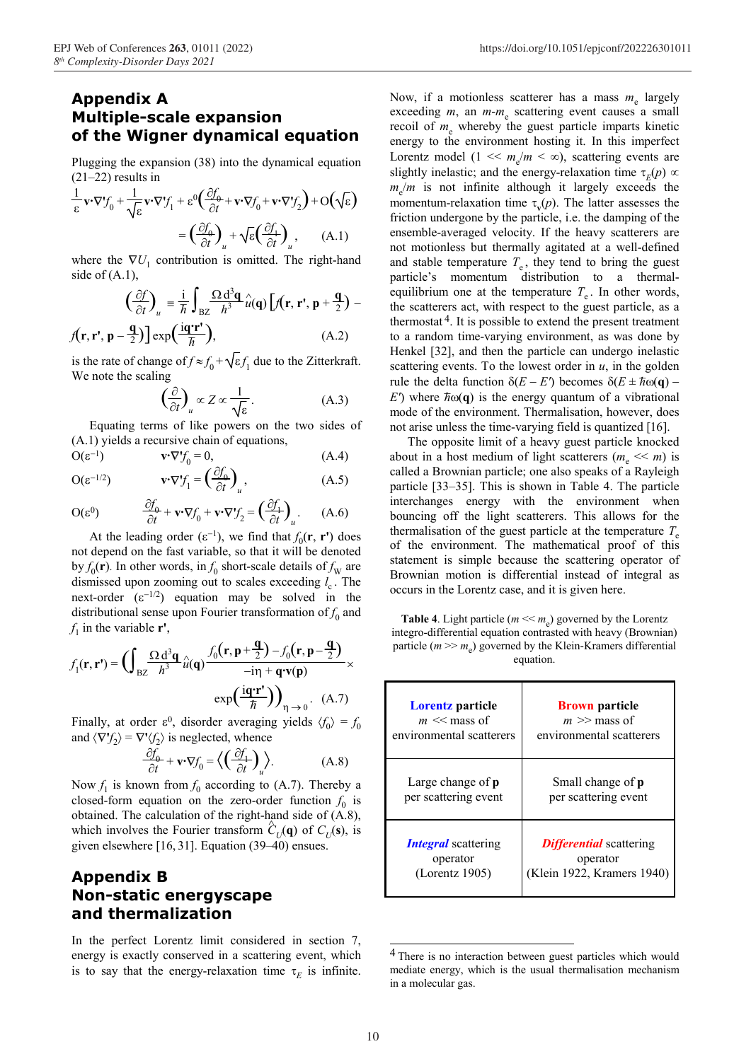# **Multiple-scale expansion of the Wigner dynamical equation**

Plugging the expansion (38) into the dynamical equation  $(21–22)$  results in

$$
\frac{1}{\varepsilon} \mathbf{v} \cdot \nabla f_0 + \frac{1}{\sqrt{\varepsilon}} \mathbf{v} \cdot \nabla f_1 + \varepsilon^0 \left( \frac{\partial f_0}{\partial t} + \mathbf{v} \cdot \nabla f_0 + \mathbf{v} \cdot \nabla f_2 \right) + O(\sqrt{\varepsilon})
$$

$$
= \left( \frac{\partial f_0}{\partial t} \right)_u + \sqrt{\varepsilon} \left( \frac{\partial f_1}{\partial t} \right)_u, \qquad (A.1)
$$

where the  $\nabla U_1$  contribution is omitted. The right-hand side of  $(A.1)$ ,

$$
\left(\frac{\partial f}{\partial t}\right)_u = \frac{\mathrm{i}}{\hbar} \int_{\mathrm{BZ}} \frac{\Omega \mathrm{d}^3 \mathbf{q}}{h^3} \hat{u}(\mathbf{q}) \left[ f(\mathbf{r}, \mathbf{r}', \mathbf{p} + \frac{\mathbf{q}}{2}) - f(\mathbf{r}, \mathbf{r}', \mathbf{p} - \frac{\mathbf{q}}{2}) \right] \exp\left(\frac{\mathrm{i}\mathbf{q}'\mathbf{r}'}{\hbar}\right),\tag{A.2}
$$

is the rate of change of  $f \approx f_0^+ \sqrt{\epsilon} f_1^+$  due to the Zitterkraft. We note the scaling

$$
\left(\frac{\partial}{\partial t}\right)_u \propto Z \propto \frac{1}{\sqrt{\varepsilon}}.\tag{A.3}
$$

Equating terms of like powers on the two sides of (A.1) yields a recursive chain of equations, The opposite limit of a heavy guest particle knocked

$$
\mathbf{O}(\varepsilon^{-1}) \qquad \qquad \mathbf{v} \cdot \nabla f_0 = 0, \tag{A.4}
$$

$$
O(\varepsilon^{-1/2}) \qquad \mathbf{v} \cdot \nabla' f_1 = \left(\frac{\partial f_0}{\partial t}\right)_u, \qquad (A.5)
$$

$$
O(\varepsilon^{0}) \qquad \frac{\partial f_{0}}{\partial t} + \mathbf{v} \cdot \nabla f_{0} + \mathbf{v} \cdot \nabla f_{2} = \left(\frac{\partial f_{1}}{\partial t}\right)_{u}.
$$
 (A.6)

At the leading order  $(\epsilon^{-1})$ , we find that  $f_0(\mathbf{r}, \mathbf{r}')$  does not depend on the fast variable, so that it will be denoted by  $f_0(\mathbf{r})$ . In other words, in  $f_0$  short-scale details of  $f_{\rm W}$  are dismissed upon zooming out to scales exceeding  $l_c$ . The next-order  $(\epsilon^{-1/2})$  equation may be solved in the distributional sense upon Fourier transformation of  $f_0$  and  $f_1$  in the variable **r'**,

$$
f_1(\mathbf{r}, \mathbf{r}') = \left( \int_{BZ} \frac{\Omega \, d^3 \mathbf{q}}{h^3} \hat{u}(\mathbf{q}) \frac{f_0(\mathbf{r}, \mathbf{p} + \frac{\mathbf{q}}{2}) - f_0(\mathbf{r}, \mathbf{p} - \frac{\mathbf{q}}{2})}{-\text{in} + \mathbf{q} \cdot \mathbf{v}(\mathbf{p})} \times \frac{\text{particle } (m >> m_e) \text{ governed by the equation.}}{\text{exp}(\frac{\text{i}\mathbf{q} \cdot \mathbf{r}'}{\hbar})\Big)_{\eta \to 0}} \times \frac{\text{particle } (m >> m_e) \text{ governed by the equation.}}{\text{Lorentz particle}}
$$

Finally, at order  $\varepsilon^0$ , disorder averaging yields  $\langle f_0 \rangle = f_0$ and  $\langle \nabla f_2 \rangle = \nabla^* \langle f_2 \rangle$  is neglected, whence

$$
\frac{\partial f_0}{\partial t} + \mathbf{v} \cdot \nabla f_0 = \left\langle \left( \frac{\partial f_1}{\partial t} \right)_u \right\rangle. \tag{A.8}
$$

Now  $f_1$  is known from  $f_0$  according to (A.7). Thereby a closed-form equation on the zero-order function  $f_0$  is obtained. The calculation of the right-hand side of (A.8), which involves the Fourier transform  $\hat{C}_U(\mathbf{q})$  of  $C_U(\mathbf{s})$ , is given elsewhere [16, 31]. Equation (39–40) ensues.

### **Appendix B Non-static energyscape and thermalization**

In the perfect Lorentz limit considered in section 7, energy is exactly conserved in a scattering event, which is to say that the energy-relaxation time  $\tau_F$  is infinite.

**Appendix A** Now, if a motionless scatterer has a mass  $m_e$  largely exceeding *m*, an *m*-*m*<sub>e</sub> scattering event causes a small recoil of  $m_e$  whereby the guest particle imparts kinetic energy to the environment hosting it. In this imperfect Lorentz model ( $1 \ll m_e/m \ll \infty$ ), scattering events are slightly inelastic; and the energy-relaxation time  $\tau_E(p) \propto$  $m_e/m$  is not infinite although it largely exceeds the momentum-relaxation time  $\tau_{\nu}(p)$ . The latter assesses the friction undergone by the particle, i.e. the damping of the ensemble-averaged velocity. If the heavy scatterers are not motionless but thermally agitated at a well-defined and stable temperature  $T_e$ , they tend to bring the guest particle's momentum distribution to a thermalequilibrium one at the temperature  $T_e$ . In other words, the scatterers act, with respect to the guest particle, as a thermostat  $4$ . It is possible to extend the present treatment to a random time-varying environment, as was done by Henkel [32], and then the particle can undergo inelastic scattering events. To the lowest order in  $u$ , in the golden rule the delta function  $\delta(E - E')$  becomes  $\delta(E \pm \hbar \omega(\mathbf{q}) E'$ ) where  $\hbar \omega(\mathbf{q})$  is the energy quantum of a vibrational mode of the environment. Thermalisation, however, does not arise unless the time-varying field is quantized [16].

> about in a host medium of light scatterers ( $m_e \ll m$ ) is called a Brownian particle; one also speaks of a Rayleigh particle [33–35]. This is shown in Table 4. The particle interchanges energy with the environment when bouncing off the light scatterers. This allows for the thermalisation of the guest particle at the temperature  $T_e$ of the environment. The mathematical proof of this statement is simple because the scattering operator of Brownian motion is differential instead of integral as occurs in the Lorentz case, and it is given here.

**Table 4**. Light particle  $(m \ll m_e)$  governed by the Lorentz integro-differential equation contrasted with heavy (Brownian) particle ( $m \gg m_e$ ) governed by the Klein-Kramers differential

| $\left(\frac{\mathbf{r} \cdot \mathbf{r}'}{\hbar}\right)$ $\left(\text{A.7}\right)$<br>aging yields $\langle f_0 \rangle = f_0$<br>ence | <b>Lorentz</b> particle<br>$m \ll$ mass of<br>environmental scatterers | <b>Brown</b> particle<br>$m \gg$ mass of<br>environmental scatterers     |
|-----------------------------------------------------------------------------------------------------------------------------------------|------------------------------------------------------------------------|--------------------------------------------------------------------------|
| $\left\langle \cdot \right\rangle$<br>(A.8)<br>g to (A.7). Thereby a<br>o-order function $f_0$ is<br>ht-hand side of $(A.8)$ ,          | Large change of $p$<br>per scattering event                            | Small change of p<br>per scattering event                                |
| rm $\hat{C}_U(\mathbf{q})$ of $C_U(\mathbf{s})$ , is<br>$(39-40)$ ensues.                                                               | <b>Integral</b> scattering<br>operator<br>(Lorentz 1905)               | <b>Differential</b> scattering<br>operator<br>(Klein 1922, Kramers 1940) |

 <sup>4</sup> There is no interaction between guest particles which would mediate energy, which is the usual thermalisation mechanism in a molecular gas.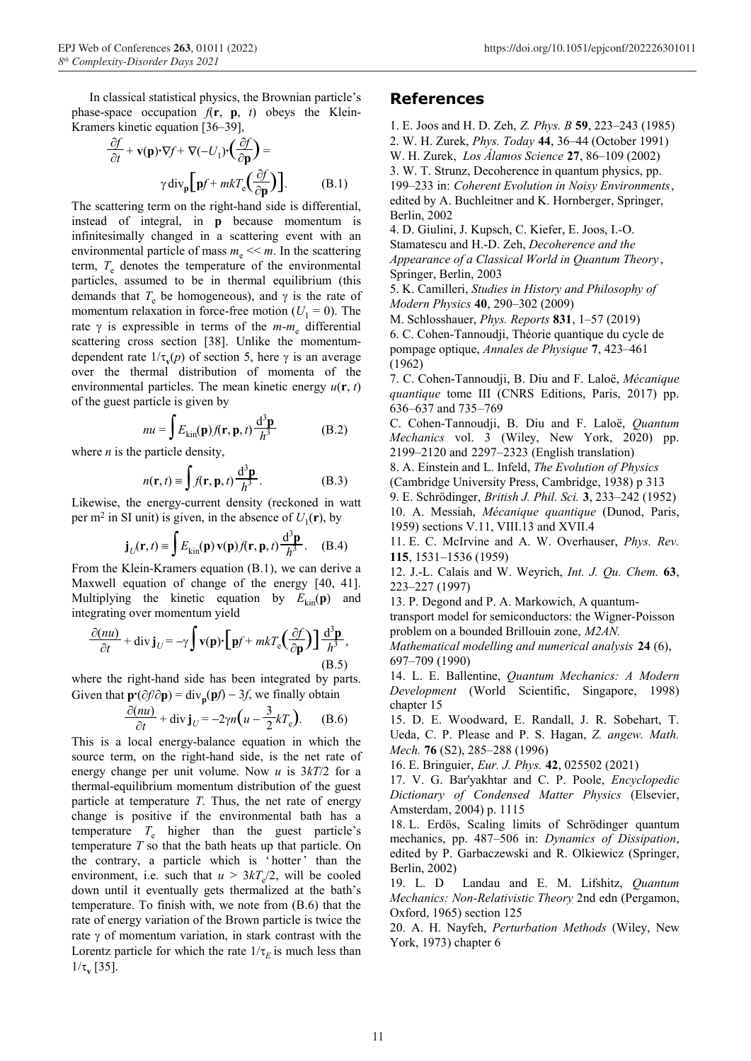In classical statistical physics, the Brownian particle's phase-space occupation  $f(\mathbf{r}, \mathbf{p}, t)$  obeys the Klein-Kramers kinetic equation [36–39],

$$
\frac{\partial f}{\partial t} + \mathbf{v}(\mathbf{p}) \cdot \nabla f + \nabla (-U_1) \cdot \left(\frac{\partial f}{\partial \mathbf{p}}\right) =
$$
  
 
$$
\gamma \operatorname{div}_{\mathbf{p}} \left[\mathbf{p} f + mkT_e \left(\frac{\partial f}{\partial \mathbf{p}}\right)\right].
$$
 (B.1)

The scattering term on the right-hand side is differential, instead of integral, in **p** because momentum is infinitesimally changed in a scattering event with an environmental particle of mass  $m_e \ll m$ . In the scattering term,  $T_e$  denotes the temperature of the environmental particles, assumed to be in thermal equilibrium (this demands that  $T_e$  be homogeneous), and  $\gamma$  is the rate of momentum relaxation in force-free motion  $(U_1 = 0)$ . The rate γ is expressible in terms of the *m*-*m*e differential scattering cross section [38]. Unlike the momentumdependent rate  $1/\tau_{\nu}(p)$  of section 5, here  $\gamma$  is an average over the thermal distribution of momenta of the environmental particles. The mean kinetic energy  $u(\mathbf{r}, t)$ of the guest particle is given by

$$
nu = \int E_{\text{kin}}(\mathbf{p}) f(\mathbf{r}, \mathbf{p}, t) \frac{d^3 \mathbf{p}}{h^3}
$$
 (B.2)

$$
n(\mathbf{r}, t) \equiv \int f(\mathbf{r}, \mathbf{p}, t) \frac{d^3 \mathbf{p}}{h^3}.
$$
 (B.3)

per m<sup>2</sup> in SI unit) is given, in the absence of  $U_1(\mathbf{r})$ , by

$$
\mathbf{j}_U(\mathbf{r},t) \equiv \int E_{\text{kin}}(\mathbf{p}) \,\mathbf{v}(\mathbf{p}) f(\mathbf{r},\mathbf{p},t) \frac{\mathrm{d}^3 \mathbf{p}}{h^3} \,. \tag{B.4}
$$

From the Klein-Kramers equation (B.1), we can derive a Maxwell equation of change of the energy [40, 41]. Multiplying the kinetic equation by  $E_{kin}(\mathbf{p})$  and integrating over momentum yield

$$
\frac{\partial (nu)}{\partial t} + \text{div } \mathbf{j}_U = -\gamma \int \mathbf{v}(\mathbf{p}) \cdot \left[ \mathbf{p} f + mkT_e \left( \frac{\partial f}{\partial \mathbf{p}} \right) \right] \frac{\mathrm{d}^3 \mathbf{p}}{h^3},
$$
\n(B.5)

where the right-hand side has been integrated by parts. Given that  $\mathbf{p} \cdot (\partial f / \partial \mathbf{p}) = \text{div}_{\mathbf{p}}(\mathbf{p}f) - 3f$ , we finally obtain

$$
\frac{\partial (nu)}{\partial t} + \text{div } \mathbf{j}_U = -2\gamma n \Big( u - \frac{3}{2} k T_e \Big). \quad (B.6)
$$

This is a local energy-balance equation in which the *Mech.* **76** (S2), 285–288 (1996) source term, on the right-hand side, is the net rate of energy change per unit volume. Now *u* is 3*kT*/2 for a thermal-equilibrium momentum distribution of the guest particle at temperature *T*. Thus, the net rate of energy change is positive if the environmental bath has a temperature  $T_e$  higher than the guest particle's temperature *T* so that the bath heats up that particle. On the contrary, a particle which is 'hotter' than the environment, i.e. such that  $u > 3kT_c/2$ , will be cooled down until it eventually gets thermalized at the bath's temperature. To finish with, we note from (B.6) that the rate of energy variation of the Brown particle is twice the rate  $\gamma$  of momentum variation, in stark contrast with the Lorentz particle for which the rate  $1/\tau_E$  is much less than  $1/τ$ <sub>v</sub> [35].

#### **References**

1. E. Joos and H. D. Zeh, *Z. Phys. B* **59**, 223–243 (1985) ∂*f* 2. W. H. Zurek, *Phys. Today* **44**, 36–44 (October 1991) <sup>∂</sup>**p**) = W. H. Zurek, *Los Álamos Science* **<sup>27</sup>**, 86–109 (2002) 3. W. T. Strunz, Decoherence in quantum physics, pp. 199–233 in: *Coherent Evolution in Noisy Environments*, edited by A. Buchleitner and K. Hornberger, Springer, Berlin, 2002

4. D. Giulini, J. Kupsch, C. Kiefer, E. Joos, I.-O. Stamatescu and H.-D. Zeh, *Decoherence and the Appearance of a Classical World in Quantum Theory* , Springer, Berlin, 2003

5. K. Camilleri, *Studies in History and Philosophy of Modern Physics* **40**, 290–302 (2009)

M. Schlosshauer, *Phys. Reports* **831**, 1–57 (2019) 6. C. Cohen-Tannoudji, Théorie quantique du cycle de pompage optique, *Annales de Physique* **7**, 423–461 (1962)

7. C. Cohen-Tannoudji, B. Diu and F. Laloë, *Mécanique quantique* tome III (CNRS Editions, Paris, 2017) pp. 636–637 and 735–769

*<sup>h</sup>*<sup>3</sup> (B.2) C. Cohen-Tannoudji, B. Diu and F. Laloë, *Quantum Mechanics* vol. 3 (Wiley, New York, 2020) pp. where *n* is the particle density, 2199–2120 and 2297–2323 (English translation)

8. A. Einstein and L. Infeld, *The Evolution of Physics*

(Cambridge University Press, Cambridge, 1938) p 313

Likewise, the energy-current density (reckoned in watt  $\frac{9. \text{ E. Schrödinger, British J. Phil. Sci. 3, 233–242 (1952)}}{10. \text{ A. Messiah, *Mécanique quantique* (Dunod, Paris,$ 1959) sections V.11, VIII.13 and XVII.4

11. E. C. McIrvine and A. W. Overhauser, *Phys. Rev.* **115**, 1531–1536 (1959)

12. J.-L. Calais and W. Weyrich, *Int. J. Qu. Chem.* **63**, 223–227 (1997)

13. P. Degond and P. A. Markowich, A quantum-

transport model for semiconductors: the Wigner-Poisson problem on a bounded Brillouin zone, *M2AN.*

*Mathematical modelling and numerical analysis* **24** (6), 697–709 (1990)

(B.5) 14. L. E. Ballentine, *Quantum Mechanics: A Modern Development* (World Scientific, Singapore, 1998) chapter 15

15. D. E. Woodward, E. Randall, J. R. Sobehart, T. Ueda, C. P. Please and P. S. Hagan, *Z. angew. Math.*

16. E. Bringuier, *Eur. J. Phys.* **42**, 025502 (2021)

17. V. G. Bar'yakhtar and C. P. Poole, *Encyclopedic Dictionary of Condensed Matter Physics* (Elsevier, Amsterdam, 2004) p. 1115

18. L. Erdös, Scaling limits of Schrödinger quantum mechanics, pp. 487–506 in: *Dynamics of Dissipation*, edited by P. Garbaczewski and R. Olkiewicz (Springer, Berlin, 2002)

19. L. D Landau and E. M. Lifshitz, *Quantum Mechanics: Non-Relativistic Theory* 2nd edn (Pergamon, Oxford, 1965) section 125

20. A. H. Nayfeh, *Perturbation Methods* (Wiley, New York, 1973) chapter 6